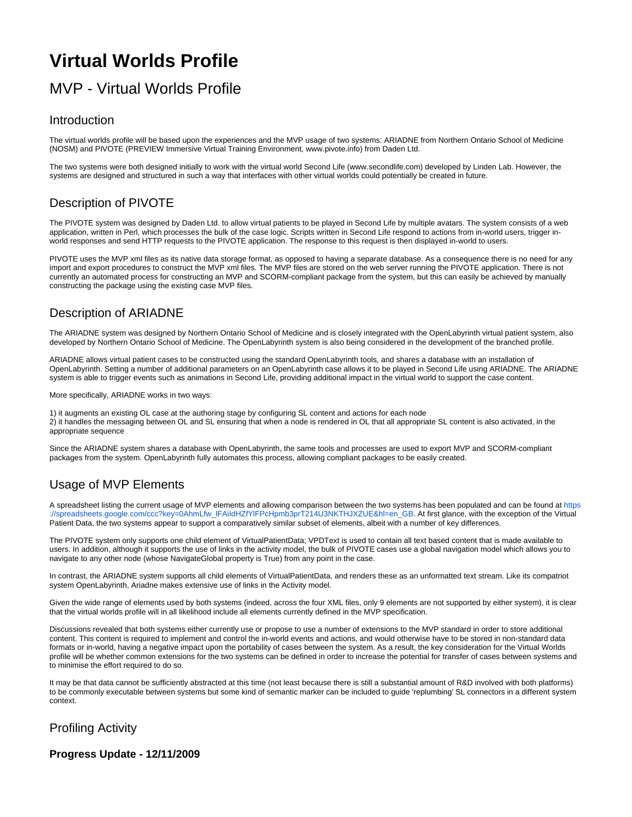# **Virtual Worlds Profile**

## MVP - Virtual Worlds Profile

#### Introduction

The virtual worlds profile will be based upon the experiences and the MVP usage of two systems: ARIADNE from Northern Ontario School of Medicine (NOSM) and PIVOTE (PREVIEW Immersive Virtual Training Environment, www.pivote.info) from Daden Ltd.

The two systems were both designed initially to work with the virtual world Second Life (www.secondlife.com) developed by Linden Lab. However, the systems are designed and structured in such a way that interfaces with other virtual worlds could potentially be created in future.

### Description of PIVOTE

The PIVOTE system was designed by Daden Ltd. to allow virtual patients to be played in Second Life by multiple avatars. The system consists of a web application, written in Perl, which processes the bulk of the case logic. Scripts written in Second Life respond to actions from in-world users, trigger inworld responses and send HTTP requests to the PIVOTE application. The response to this request is then displayed in-world to users.

PIVOTE uses the MVP xml files as its native data storage format, as opposed to having a separate database. As a consequence there is no need for any import and export procedures to construct the MVP xml files. The MVP files are stored on the web server running the PIVOTE application. There is not currently an automated process for constructing an MVP and SCORM-compliant package from the system, but this can easily be achieved by manually constructing the package using the existing case MVP files.

### Description of ARIADNE

The ARIADNE system was designed by Northern Ontario School of Medicine and is closely integrated with the OpenLabyrinth virtual patient system, also developed by Northern Ontario School of Medicine. The OpenLabyrinth system is also being considered in the development of the branched profile.

ARIADNE allows virtual patient cases to be constructed using the standard OpenLabyrinth tools, and shares a database with an installation of OpenLabyrinth. Setting a number of additional parameters on an OpenLabyrinth case allows it to be played in Second Life using ARIADNE. The ARIADNE system is able to trigger events such as animations in Second Life, providing additional impact in the virtual world to support the case content.

More specifically, ARIADNE works in two ways:

1) it augments an existing OL case at the authoring stage by configuring SL content and actions for each node

2) it handles the messaging between OL and SL ensuring that when a node is rendered in OL that all appropriate SL content is also activated, in the appropriate sequence

Since the ARIADNE system shares a database with OpenLabyrinth, the same tools and processes are used to export MVP and SCORM-compliant packages from the system. OpenLabyrinth fully automates this process, allowing compliant packages to be easily created.

### Usage of MVP Elements

A spreadsheet listing the current usage of MVP elements and allowing comparison between the two systems has been populated and can be found at [https](https://spreadsheets.google.com/ccc?key=0AhmLfw_lFAiIdHZfYlFPcHpmb3prT214U3NKTHJXZUE&hl=en_GB) [://spreadsheets.google.com/ccc?key=0AhmLfw\\_lFAiIdHZfYlFPcHpmb3prT214U3NKTHJXZUE&hl=en\\_GB.](https://spreadsheets.google.com/ccc?key=0AhmLfw_lFAiIdHZfYlFPcHpmb3prT214U3NKTHJXZUE&hl=en_GB) At first glance, with the exception of the Virtual Patient Data, the two systems appear to support a comparatively similar subset of elements, albeit with a number of key differences.

The PIVOTE system only supports one child element of VirtualPatientData; VPDText is used to contain all text based content that is made available to users. In addition, although it supports the use of links in the activity model, the bulk of PIVOTE cases use a global navigation model which allows you to navigate to any other node (whose NavigateGlobal property is True) from any point in the case.

In contrast, the ARIADNE system supports all child elements of VirtualPatientData, and renders these as an unformatted text stream. Like its compatriot system OpenLabyrinth, Ariadne makes extensive use of links in the Activity model.

Given the wide range of elements used by both systems (indeed, across the four XML files, only 9 elements are not supported by either system), it is clear that the virtual worlds profile will in all likelihood include all elements currently defined in the MVP specification.

Discussions revealed that both systems either currently use or propose to use a number of extensions to the MVP standard in order to store additional content. This content is required to implement and control the in-world events and actions, and would otherwise have to be stored in non-standard data formats or in-world, having a negative impact upon the portability of cases between the system. As a result, the key consideration for the Virtual Worlds profile will be whether common extensions for the two systems can be defined in order to increase the potential for transfer of cases between systems and to minimise the effort required to do so.

It may be that data cannot be sufficiently abstracted at this time (not least because there is still a substantial amount of R&D involved with both platforms) to be commonly executable between systems but some kind of semantic marker can be included to guide 'replumbing' SL connectors in a different system context.

### Profiling Activity

**Progress Update - 12/11/2009**